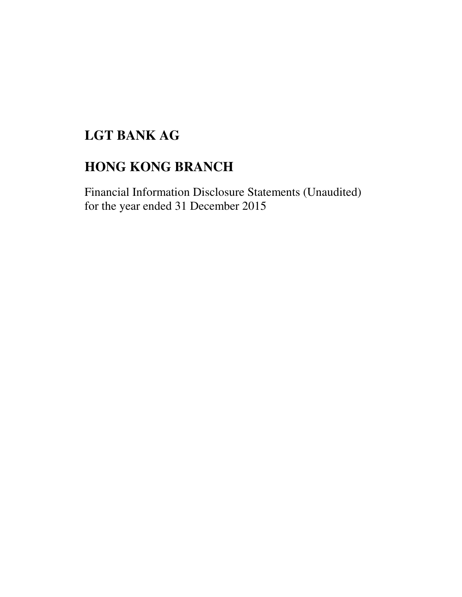# **LGT BANK AG**

# **HONG KONG BRANCH**

Financial Information Disclosure Statements (Unaudited) for the year ended 31 December 2015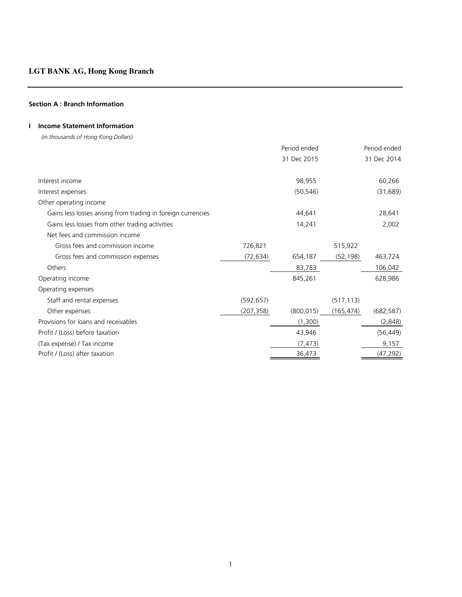#### **Section A : Branch Information**

## **I Income Statement Information**

 *(in thousands of Hong Kong Dollars)*

|                                                              |            | Period ended |            | Period ended |
|--------------------------------------------------------------|------------|--------------|------------|--------------|
|                                                              |            | 31 Dec 2015  |            | 31 Dec 2014  |
| Interest income                                              |            | 98,955       |            | 60,266       |
| Interest expenses                                            |            | (50, 546)    |            | (31, 689)    |
| Other operating income                                       |            |              |            |              |
| Gains less losses arising from trading in foreign currencies |            | 44,641       |            | 28,641       |
| Gains less losses from other trading activities              |            | 14,241       |            | 2,002        |
| Net fees and commission income                               |            |              |            |              |
| Gross fees and commission income                             | 726,821    |              | 515,922    |              |
| Gross fees and commission expenses                           | (72, 634)  | 654,187      | (52, 198)  | 463,724      |
| Others                                                       |            | 83,783       |            | 106,042      |
| Operating income                                             |            | 845,261      |            | 628,986      |
| Operating expenses                                           |            |              |            |              |
| Staff and rental expenses                                    | (592, 657) |              | (517, 113) |              |
| Other expenses                                               | (207, 358) | (800, 015)   | (165, 474) | (682, 587)   |
| Provisions for loans and receivables                         |            | (1,300)      |            | (2,848)      |
| Profit / (Loss) before taxation                              |            | 43,946       |            | (56, 449)    |
| (Tax expense) / Tax income                                   |            | (7, 473)     |            | 9,157        |
| Profit / (Loss) after taxation                               |            | 36,473       |            | (47, 292)    |
|                                                              |            |              |            |              |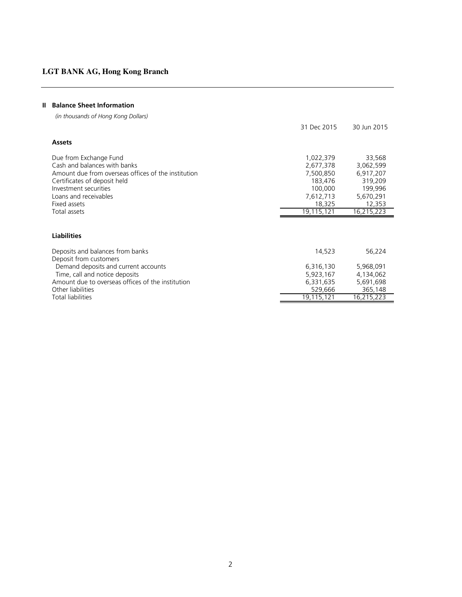## **II Balance Sheet Information**

 *(in thousands of Hong Kong Dollars)*

| 31 Dec 2015 | 30 Jun 2015 |
|-------------|-------------|
|             |             |
| 1,022,379   | 33,568      |
| 2,677,378   | 3,062,599   |
| 7,500,850   | 6,917,207   |
| 183,476     | 319,209     |
| 100,000     | 199,996     |
| 7,612,713   | 5,670,291   |
| 18,325      | 12,353      |
|             | 16,215,223  |
|             |             |
|             |             |
| 14,523      | 56,224      |
| 6,316,130   | 5,968,091   |
| 5,923,167   | 4,134,062   |
| 6,331,635   | 5,691,698   |
| 529,666     | 365,148     |
| 19,115,121  | 16,215,223  |
|             | 19,115,121  |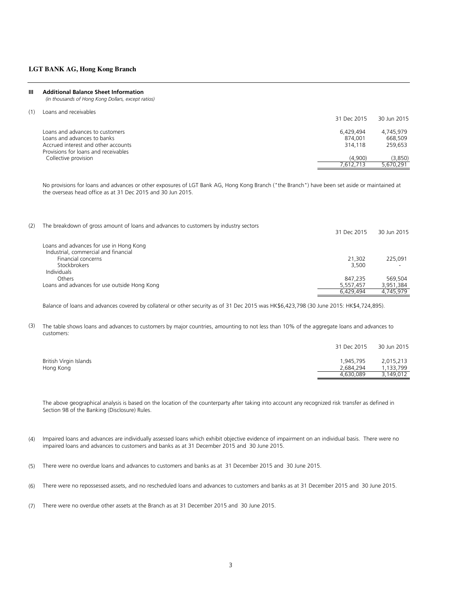#### **III Additional Balance Sheet Information**

 *(in thousands of Hong Kong Dollars, except ratios)*

(1) Loans and receivables

|                                      | 31 Dec 2015 | 30 Jun 2015 |
|--------------------------------------|-------------|-------------|
| Loans and advances to customers      | 6.429.494   | 4.745.979   |
| Loans and advances to banks          | 874,001     | 668,509     |
| Accrued interest and other accounts  | 314,118     | 259.653     |
| Provisions for loans and receivables |             |             |
| Collective provision                 | (4.900)     | (3,850)     |
|                                      | 7.612.713   | 5.670.291   |

No provisions for loans and advances or other exposures of LGT Bank AG, Hong Kong Branch ("the Branch") have been set aside or maintained at the overseas head office as at 31 Dec 2015 and 30 Jun 2015.

| (2) | The breakdown of gross amount of loans and advances to customers by industry sectors | 31 Dec 2015 | 30 Jun 2015   |
|-----|--------------------------------------------------------------------------------------|-------------|---------------|
|     | Loans and advances for use in Hong Kong                                              |             |               |
|     | Industrial, commercial and financial                                                 |             |               |
|     | Financial concerns                                                                   | 21,302      | 225.091       |
|     | Stockbrokers                                                                         | 3.500       | <u>. на п</u> |
|     | <b>Individuals</b>                                                                   |             |               |
|     | Others                                                                               | 847.235     | 569.504       |
|     | Loans and advances for use outside Hong Kong                                         | 5,557,457   | 3,951,384     |
|     |                                                                                      | 6.429.494   | 4.745.979     |

Balance of loans and advances covered by collateral or other security as of 31 Dec 2015 was HK\$6,423,798 (30 June 2015: HK\$4,724,895).

(3) The table shows loans and advances to customers by major countries, amounting to not less than 10% of the aggregate loans and advances to customers:

|                        | 31 Dec 2015 | 30 Jun 2015 |
|------------------------|-------------|-------------|
| British Virgin Islands | 1.945.795   | 2,015,213   |
| Hong Kong              | 2,684,294   | 1,133,799   |
|                        | 4.630.089   | 3.149.012   |

The above geographical analysis is based on the location of the counterparty after taking into account any recognized risk transfer as defined in Section 98 of the Banking (Disclosure) Rules.

- (4) Impaired loans and advances are individually assessed loans which exhibit objective evidence of impairment on an individual basis. There were no impaired loans and advances to customers and banks as at 31 December 2015 and 30 June 2015.
- (5) There were no overdue loans and advances to customers and banks as at 31 December 2015 and 30 June 2015.
- (6) There were no repossessed assets, and no rescheduled loans and advances to customers and banks as at 31 December 2015 and 30 June 2015.
- (7) There were no overdue other assets at the Branch as at 31 December 2015 and 30 June 2015.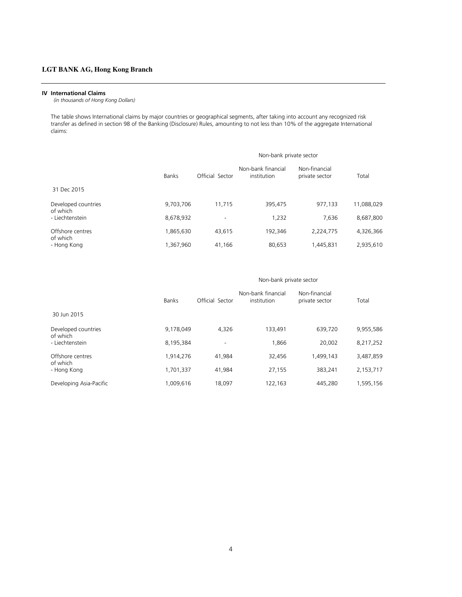#### **IV International Claims**

 *(in thousands of Hong Kong Dollars)*

The table shows International claims by major countries or geographical segments, after taking into account any recognized risk transfer as defined in section 98 of the Banking (Disclosure) Rules, amounting to not less than 10% of the aggregate International claims:

|                              |              | Non-bank private sector  |                                   |                                 |            |  |
|------------------------------|--------------|--------------------------|-----------------------------------|---------------------------------|------------|--|
|                              | <b>Banks</b> | Official Sector          | Non-bank financial<br>institution | Non-financial<br>private sector | Total      |  |
| 31 Dec 2015                  |              |                          |                                   |                                 |            |  |
| Developed countries          | 9,703,706    | 11,715                   | 395,475                           | 977,133                         | 11,088,029 |  |
| of which<br>- Liechtenstein  | 8,678,932    | $\overline{\phantom{a}}$ | 1,232                             | 7,636                           | 8,687,800  |  |
| Offshore centres<br>of which | 1,865,630    | 43.615                   | 192,346                           | 2,224,775                       | 4,326,366  |  |
| - Hong Kong                  | 1,367,960    | 41.166                   | 80.653                            | 1.445.831                       | 2,935,610  |  |

#### Non-bank private sector

|                              | <b>Banks</b> | Official Sector          | Non-bank financial<br>institution | Non-financial<br>private sector | Total     |
|------------------------------|--------------|--------------------------|-----------------------------------|---------------------------------|-----------|
| 30 Jun 2015                  |              |                          |                                   |                                 |           |
| Developed countries          | 9,178,049    | 4.326                    | 133,491                           | 639,720                         | 9,955,586 |
| of which<br>- Liechtenstein  | 8,195,384    | $\overline{\phantom{a}}$ | 1.866                             | 20.002                          | 8,217,252 |
| Offshore centres<br>of which | 1,914,276    | 41.984                   | 32.456                            | 1,499,143                       | 3,487,859 |
| - Hong Kong                  | 1,701,337    | 41.984                   | 27,155                            | 383.241                         | 2,153,717 |
| Developing Asia-Pacific      | 1.009.616    | 18.097                   | 122.163                           | 445.280                         | 1,595,156 |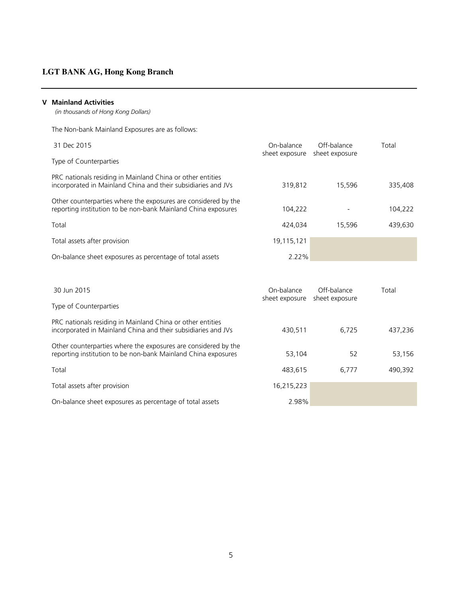#### **V Mainland Activities**

 *(in thousands of Hong Kong Dollars)*

The Non-bank Mainland Exposures are as follows:

| 31 Dec 2015                                                                                                                     | On-balance<br>sheet exposure | Off-balance<br>sheet exposure | Total   |
|---------------------------------------------------------------------------------------------------------------------------------|------------------------------|-------------------------------|---------|
| Type of Counterparties                                                                                                          |                              |                               |         |
| PRC nationals residing in Mainland China or other entities<br>incorporated in Mainland China and their subsidiaries and JVs     | 319.812                      | 15.596                        | 335,408 |
| Other counterparties where the exposures are considered by the<br>reporting institution to be non-bank Mainland China exposures | 104.222                      |                               | 104,222 |
| Total                                                                                                                           | 424.034                      | 15.596                        | 439.630 |
| Total assets after provision                                                                                                    | 19,115,121                   |                               |         |
| On-balance sheet exposures as percentage of total assets                                                                        | 2.22%                        |                               |         |

| 30 Jun 2015                                                                                                                     | On-balance<br>sheet exposure | Off-balance<br>sheet exposure | Total   |
|---------------------------------------------------------------------------------------------------------------------------------|------------------------------|-------------------------------|---------|
| Type of Counterparties                                                                                                          |                              |                               |         |
| PRC nationals residing in Mainland China or other entities<br>incorporated in Mainland China and their subsidiaries and JVs     | 430.511                      | 6.725                         | 437,236 |
| Other counterparties where the exposures are considered by the<br>reporting institution to be non-bank Mainland China exposures | 53,104                       | 52                            | 53,156  |
| Total                                                                                                                           | 483.615                      | 6,777                         | 490,392 |
| Total assets after provision                                                                                                    | 16,215,223                   |                               |         |
| On-balance sheet exposures as percentage of total assets                                                                        | 2.98%                        |                               |         |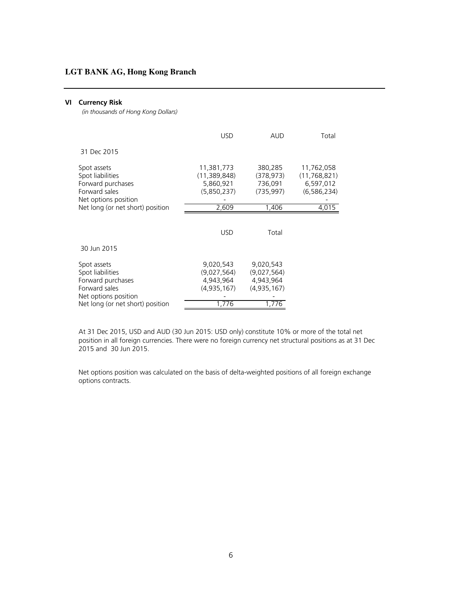#### **VI Currency Risk**

 *(in thousands of Hong Kong Dollars)*

|                                                                                               | <b>USD</b>                                               | <b>AUD</b>                                           | Total                                                    |
|-----------------------------------------------------------------------------------------------|----------------------------------------------------------|------------------------------------------------------|----------------------------------------------------------|
| 31 Dec 2015                                                                                   |                                                          |                                                      |                                                          |
| Spot assets<br>Spot liabilities<br>Forward purchases<br>Forward sales<br>Net options position | 11,381,773<br>(11, 389, 848)<br>5,860,921<br>(5,850,237) | 380,285<br>(378, 973)<br>736,091<br>(735, 997)       | 11,762,058<br>(11, 768, 821)<br>6,597,012<br>(6,586,234) |
| Net long (or net short) position                                                              | 2,609                                                    | 1,406                                                | 4,015                                                    |
|                                                                                               | <b>USD</b>                                               | Total                                                |                                                          |
| 30 Jun 2015                                                                                   |                                                          |                                                      |                                                          |
| Spot assets<br>Spot liabilities<br>Forward purchases<br>Forward sales<br>Net options position | 9.020.543<br>(9,027,564)<br>4,943,964<br>(4,935,167)     | 9.020.543<br>(9,027,564)<br>4,943,964<br>(4,935,167) |                                                          |
| Net long (or net short) position                                                              | 1,776                                                    | 1,776                                                |                                                          |

At 31 Dec 2015, USD and AUD (30 Jun 2015: USD only) constitute 10% or more of the total net position in all foreign currencies. There were no foreign currency net structural positions as at 31 Dec 2015 and 30 Jun 2015.

Net options position was calculated on the basis of delta-weighted positions of all foreign exchange options contracts.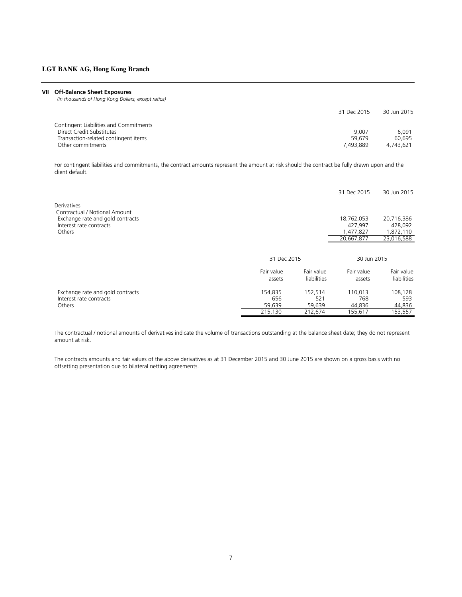#### **VII Off-Balance Sheet Exposures**

 *(in thousands of Hong Kong Dollars, except ratios)*

|                                        | 31 Dec 2015 | 30 Jun 2015 |
|----------------------------------------|-------------|-------------|
| Contingent Liabilities and Commitments |             |             |
| Direct Credit Substitutes              | 9.007       | 6.091       |
| Transaction-related contingent items   | 59.679      | 60.695      |
| Other commitments                      | 7.493.889   | 4.743.621   |

For contingent liabilities and commitments, the contract amounts represent the amount at risk should the contract be fully drawn upon and the client default.

|                                                                                  |             |             | 31 Dec 2015 | 30 Jun 2015 |
|----------------------------------------------------------------------------------|-------------|-------------|-------------|-------------|
| Derivatives<br>Contractual / Notional Amount<br>Exchange rate and gold contracts |             |             | 18,762,053  | 20,716,386  |
| Interest rate contracts                                                          |             |             | 427,997     | 428,092     |
| Others                                                                           |             |             | 1,477,827   | 1,872,110   |
|                                                                                  |             |             | 20,667,877  | 23,016,588  |
|                                                                                  | 31 Dec 2015 |             | 30 Jun 2015 |             |
|                                                                                  | Fair value  | Fair value  | Fair value  | Fair value  |
|                                                                                  | assets      | liabilities | assets      | liabilities |
|                                                                                  |             |             |             |             |
| Exchange rate and gold contracts                                                 | 154,835     | 152,514     | 110.013     | 108,128     |
| Interest rate contracts                                                          | 656         | 521         | 768         | 593         |
| Others                                                                           | 59,639      | 59,639      | 44,836      | 44,836      |
|                                                                                  | 215,130     | 212,674     | 155,617     | 153,557     |

The contractual / notional amounts of derivatives indicate the volume of transactions outstanding at the balance sheet date; they do not represent amount at risk.

The contracts amounts and fair values of the above derivatives as at 31 December 2015 and 30 June 2015 are shown on a gross basis with no offsetting presentation due to bilateral netting agreements.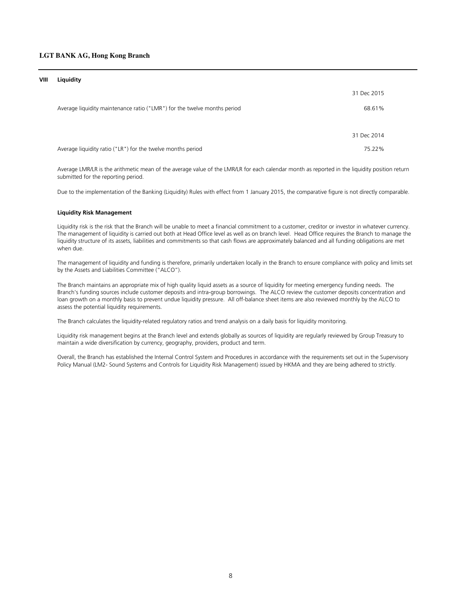#### **VIII Liquidity**

|                                                                          | 31 Dec 2015 |
|--------------------------------------------------------------------------|-------------|
| Average liquidity maintenance ratio ("LMR") for the twelve months period | 68.61%      |
|                                                                          | 31 Dec 2014 |
| Average liquidity ratio ("LR") for the twelve months period              | 75.22%      |

Average LMR/LR is the arithmetic mean of the average value of the LMR/LR for each calendar month as reported in the liquidity position return submitted for the reporting period.

Due to the implementation of the Banking (Liquidity) Rules with effect from 1 January 2015, the comparative figure is not directly comparable.

#### **Liquidity Risk Management**

Liquidity risk is the risk that the Branch will be unable to meet a financial commitment to a customer, creditor or investor in whatever currency. The management of liquidity is carried out both at Head Office level as well as on branch level. Head Office requires the Branch to manage the liquidity structure of its assets, liabilities and commitments so that cash flows are approximately balanced and all funding obligations are met when due.

The management of liquidity and funding is therefore, primarily undertaken locally in the Branch to ensure compliance with policy and limits set by the Assets and Liabilities Committee ("ALCO").

The Branch maintains an appropriate mix of high quality liquid assets as a source of liquidity for meeting emergency funding needs. The Branch's funding sources include customer deposits and intra-group borrowings. The ALCO review the customer deposits concentration and loan growth on a monthly basis to prevent undue liquidity pressure. All off-balance sheet items are also reviewed monthly by the ALCO to assess the potential liquidity requirements.

The Branch calculates the liquidity-related regulatory ratios and trend analysis on a daily basis for liquidity monitoring.

Liquidity risk management begins at the Branch level and extends globally as sources of liquidity are regularly reviewed by Group Treasury to maintain a wide diversification by currency, geography, providers, product and term.

Overall, the Branch has established the Internal Control System and Procedures in accordance with the requirements set out in the Supervisory Policy Manual (LM2- Sound Systems and Controls for Liquidity Risk Management) issued by HKMA and they are being adhered to strictly.